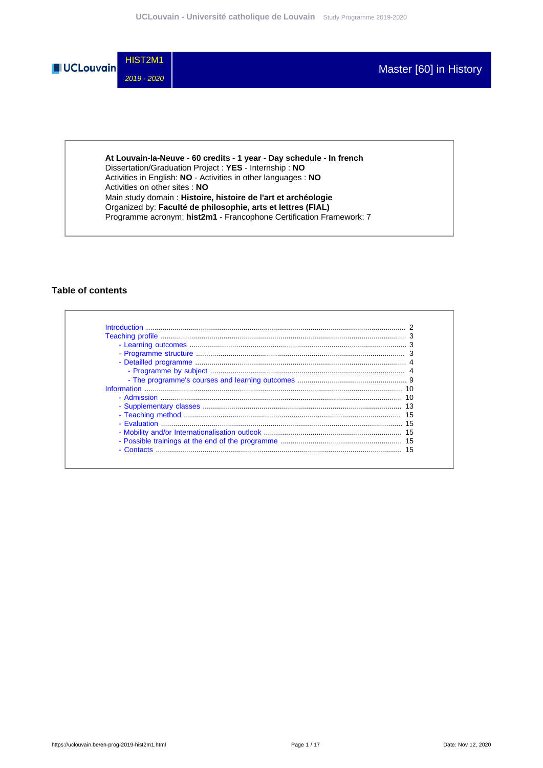

**At Louvain-la-Neuve - 60 credits - 1 year - Day schedule - In french** Dissertation/Graduation Project : **YES** - Internship : **NO** Activities in English: **NO** - Activities in other languages : **NO** Activities on other sites : **NO** Main study domain : **Histoire, histoire de l'art et archéologie** Organized by: **Faculté de philosophie, arts et lettres (FIAL)** Programme acronym: **hist2m1** - Francophone Certification Framework: 7

#### **Table of contents**

| 15 |
|----|
|    |
|    |
| 15 |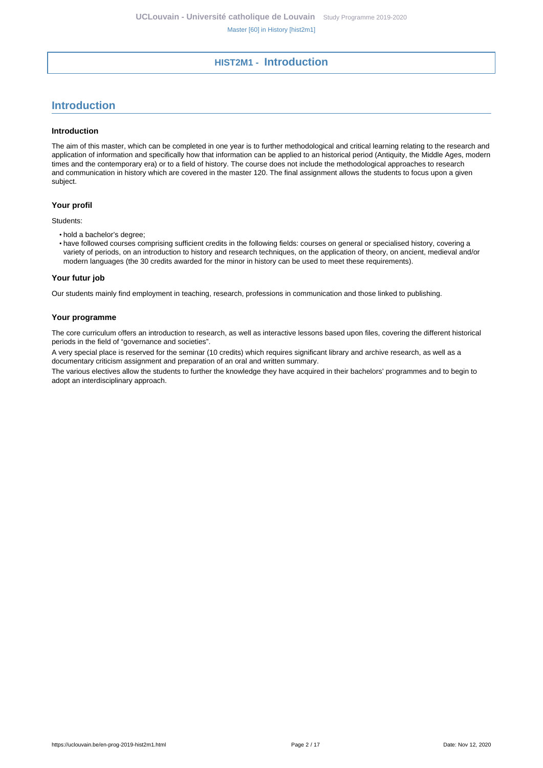# **HIST2M1 - Introduction**

# <span id="page-1-0"></span>**Introduction**

#### **Introduction**

The aim of this master, which can be completed in one year is to further methodological and critical learning relating to the research and application of information and specifically how that information can be applied to an historical period (Antiquity, the Middle Ages, modern times and the contemporary era) or to a field of history. The course does not include the methodological approaches to research and communication in history which are covered in the master 120. The final assignment allows the students to focus upon a given subject.

#### **Your profil**

Students:

- hold a bachelor's degree;
- have followed courses comprising sufficient credits in the following fields: courses on general or specialised history, covering a variety of periods, on an introduction to history and research techniques, on the application of theory, on ancient, medieval and/or modern languages (the 30 credits awarded for the minor in history can be used to meet these requirements).

#### **Your futur job**

Our students mainly find employment in teaching, research, professions in communication and those linked to publishing.

#### **Your programme**

The core curriculum offers an introduction to research, as well as interactive lessons based upon files, covering the different historical periods in the field of "governance and societies".

A very special place is reserved for the seminar (10 credits) which requires significant library and archive research, as well as a documentary criticism assignment and preparation of an oral and written summary.

The various electives allow the students to further the knowledge they have acquired in their bachelors' programmes and to begin to adopt an interdisciplinary approach.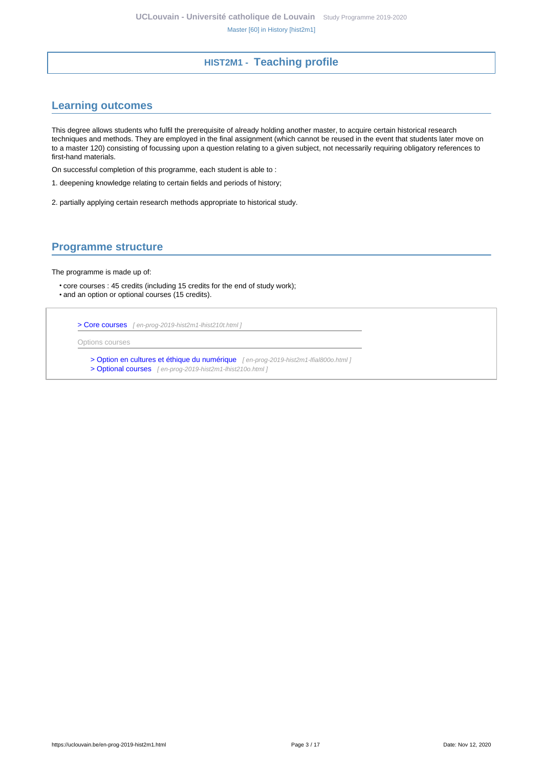# **HIST2M1 - Teaching profile**

# <span id="page-2-1"></span><span id="page-2-0"></span>**Learning outcomes**

This degree allows students who fulfil the prerequisite of already holding another master, to acquire certain historical research techniques and methods. They are employed in the final assignment (which cannot be reused in the event that students later move on to a master 120) consisting of focussing upon a question relating to a given subject, not necessarily requiring obligatory references to first-hand materials.

On successful completion of this programme, each student is able to :

- 1. deepening knowledge relating to certain fields and periods of history;
- 2. partially applying certain research methods appropriate to historical study.

# <span id="page-2-2"></span>**Programme structure**

The programme is made up of:

• core courses : 45 credits (including 15 credits for the end of study work); • and an option or optional courses (15 credits).

[> Core courses](en-prog-2019-hist2m1-lhist210t.html) [ en-prog-2019-hist2m1-lhist210t.html ]

Options courses

[> Option en cultures et éthique du numérique](en-prog-2019-hist2m1-lfial800o.html) [ en-prog-2019-hist2m1-lfial800o.html ] [> Optional courses](en-prog-2019-hist2m1-lhist210o.html) [ en-prog-2019-hist2m1-lhist210o.html]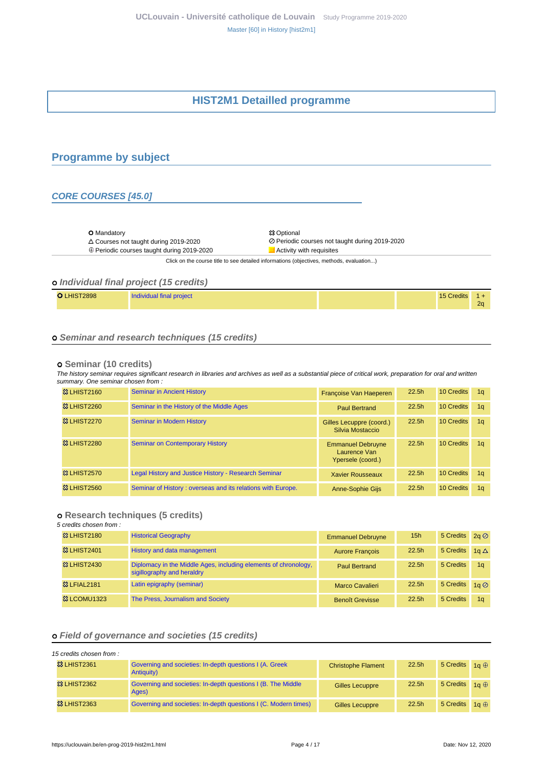# **HIST2M1 Detailled programme**

# <span id="page-3-1"></span><span id="page-3-0"></span>**Programme by subject**

#### **CORE COURSES [45.0]**

O Mandatory <br>
△ Courses not taught during 2019-2020 <br>
⊘ Periodic

 $\oplus$  Periodic courses taught during 2019-2020  $\Box$  Activity with requisites

Courses not taught during 2019-2020 Periodic courses not taught during 2019-2020

Click on the course title to see detailed informations (objectives, methods, evaluation...)

### **Individual final project (15 credits)**

| LHIST2898                | 15 Credits     |
|--------------------------|----------------|
| Individual final project | 2 <sub>0</sub> |

#### **Seminar and research techniques (15 credits)**

#### **Seminar (10 credits)**

The history seminar requires significant research in libraries and archives as well as a substantial piece of critical work, preparation for oral and written summary. One seminar chosen from :

| <b>&amp;3 LHIST2160</b> | <b>Seminar in Ancient History</b>                           | Françoise Van Haeperen                                        | 22.5h             | <b>10 Credits</b> | 1a             |
|-------------------------|-------------------------------------------------------------|---------------------------------------------------------------|-------------------|-------------------|----------------|
| <b>&amp; LHIST2260</b>  | Seminar in the History of the Middle Ages                   | <b>Paul Bertrand</b>                                          | 22.5 <sub>h</sub> | 10 Credits        | 1a             |
| <b>&amp; LHIST2270</b>  | <b>Seminar in Modern History</b>                            | Gilles Lecuppre (coord.)<br>Silvia Mostaccio                  | 22.5h             | 10 Credits        | 1a             |
| <b>&amp; LHIST2280</b>  | <b>Seminar on Contemporary History</b>                      | <b>Emmanuel Debruyne</b><br>Laurence Van<br>Ypersele (coord.) | 22.5h             | 10 Credits        | 1a             |
| <b>&amp; LHIST2570</b>  | Legal History and Justice History - Research Seminar        | <b>Xavier Rousseaux</b>                                       | 22.5h             | 10 Credits        | 1 <sub>a</sub> |
| <b>&amp; LHIST2560</b>  | Seminar of History: overseas and its relations with Europe. | <b>Anne-Sophie Gijs</b>                                       | 22.5h             | 10 Credits        | 1a             |

### **Research techniques (5 credits)**

5 credits chosen from :

| <b>&amp; LHIST2180</b>  | <b>Historical Geography</b>                                                                   | <b>Emmanuel Debruyne</b> | 15h               | 5 Credits 2a 2        |                |
|-------------------------|-----------------------------------------------------------------------------------------------|--------------------------|-------------------|-----------------------|----------------|
| <b>&amp; LHIST2401</b>  | History and data management                                                                   | <b>Aurore François</b>   | 22.5 <sub>h</sub> | 5 Credits $1q \Delta$ |                |
| <b>&amp; LHIST2430</b>  | Diplomacy in the Middle Ages, including elements of chronology,<br>sigillography and heraldry | <b>Paul Bertrand</b>     | 22.5 <sub>h</sub> | 5 Credits             | 1 <sub>a</sub> |
| <b>&amp;3 LFIAL2181</b> | Latin epigraphy (seminar)                                                                     | <b>Marco Cavalieri</b>   | 22.5 <sub>h</sub> | 5 Credits 1g Ø        |                |
| <b>&amp; LCOMU1323</b>  | The Press, Journalism and Society                                                             | <b>Benoît Grevisse</b>   | 22.5 <sub>h</sub> | 5 Credits             | 1 <sub>a</sub> |

### **Field of governance and societies (15 credits)**

| 15 credits chosen from: |                                                                        |                           |                   |                       |                     |
|-------------------------|------------------------------------------------------------------------|---------------------------|-------------------|-----------------------|---------------------|
| <b>&amp; LHIST2361</b>  | Governing and societies: In-depth questions I (A. Greek)<br>Antiquity) | <b>Christophe Flament</b> | 22.5 <sub>h</sub> | 5 Credits $1a \oplus$ |                     |
| <b>&amp; LHIST2362</b>  | Governing and societies: In-depth questions I (B. The Middle<br>Ages)  | <b>Gilles Lecuppre</b>    | 22.5 <sub>h</sub> | 5 Credits             | $1a \oplus$         |
| <b>&amp; LHIST2363</b>  | Governing and societies: In-depth questions I (C. Modern times)        | <b>Gilles Lecuppre</b>    | 22.5 <sub>h</sub> | 5 Credits             | 1 $\alpha$ $\oplus$ |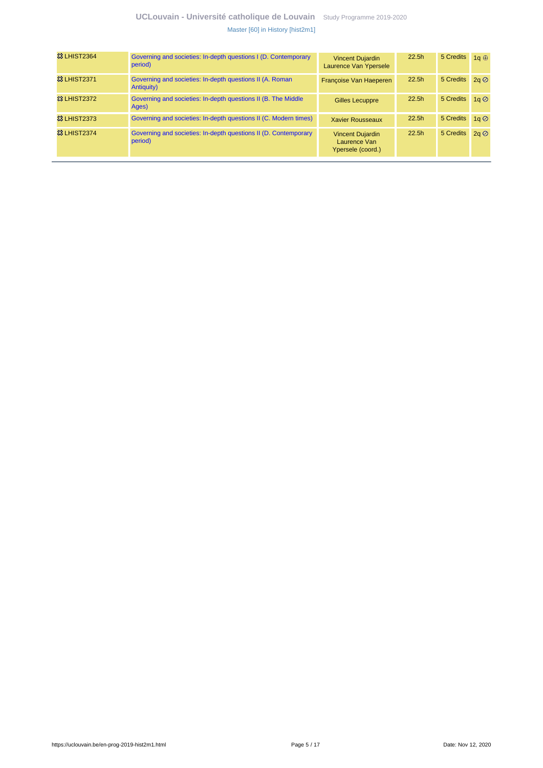# **UCLouvain - Université catholique de Louvain** [Study Programme 2019-2020](https://uclouvain.be/en/study-programme) [Master \[60\] in History \[hist2m1\]](https://uclouvain.be/en-prog-2019-hist2m1.html)

| <b>&amp;3 LHIST2364</b> | Governing and societies: In-depth questions I (D. Contemporary<br>period)  | <b>Vincent Dujardin</b><br>Laurence Van Ypersele             | 22.5h | 5 Credits      | 1a $\oplus$    |
|-------------------------|----------------------------------------------------------------------------|--------------------------------------------------------------|-------|----------------|----------------|
| <b>&amp; LHIST2371</b>  | Governing and societies: In-depth questions II (A. Roman<br>Antiquity)     | Françoise Van Haeperen                                       | 22.5h | 5 Credits 2q Ø |                |
| <b>&amp;3 LHIST2372</b> | Governing and societies: In-depth questions II (B. The Middle<br>Ages)     | <b>Gilles Lecuppre</b>                                       | 22.5h | 5 Credits      | $1a$ $\oslash$ |
| <b>&amp; LHIST2373</b>  | Governing and societies: In-depth questions II (C. Modern times)           | <b>Xavier Rousseaux</b>                                      | 22.5h | 5 Credits      | $1a$ $\oslash$ |
| <b>83 LHIST2374</b>     | Governing and societies: In-depth questions II (D. Contemporary<br>period) | <b>Vincent Dujardin</b><br>Laurence Van<br>Ypersele (coord.) | 22.5h | 5 Credits      | $2a$ $\oslash$ |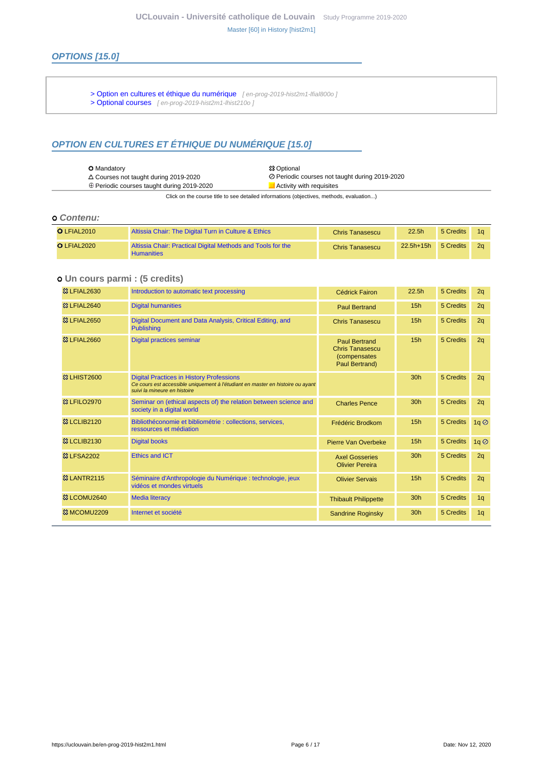# **OPTIONS [15.0]**

- [> Option en cultures et éthique du numérique](en-prog-2019-hist2m1-lfial800o) [en-prog-2019-hist2m1-lfial800o]
- [> Optional courses](en-prog-2019-hist2m1-lhist210o) [ en-prog-2019-hist2m1-lhist210o ]

# **OPTION EN CULTURES ET ÉTHIQUE DU NUMÉRIQUE [15.0]**

| <b>O</b> Mandatory                                | <b>83 Optional</b>                                                                                                                                                                                                              |
|---------------------------------------------------|---------------------------------------------------------------------------------------------------------------------------------------------------------------------------------------------------------------------------------|
| $\triangle$ Courses not taught during 2019-2020   | ⊘ Periodic courses not taught during 2019-2020                                                                                                                                                                                  |
| $\oplus$ Periodic courses taught during 2019-2020 | Activity with requisites                                                                                                                                                                                                        |
|                                                   | $\sim$ . The set is the set of the set of the set of the set of the set of the set of the set of the set of the set of the set of the set of the set of the set of the set of the set of the set of the set of the set of the s |

Click on the course title to see detailed informations (objectives, methods, evaluation...)

### **Contenu:**

| $O$ LFIAL2010 | Altissia Chair: The Digital Turn in Culture & Ethics                             | <b>Chris Tanasescu</b> | 22.5 <sub>h</sub> | 5 Credits | 10 |
|---------------|----------------------------------------------------------------------------------|------------------------|-------------------|-----------|----|
| $O$ LFIAL2020 | Altissia Chair: Practical Digital Methods and Tools for the<br><b>Humanities</b> | <b>Chris Tanasescu</b> | 22.5h+15h         | 5 Credits | 2a |

### **Un cours parmi : (5 credits)**

| <b>&amp;3 LFIAL2630</b>  | Introduction to automatic text processing                                                                                                                         | <b>Cédrick Fairon</b>                                                                    | 22.5h           | 5 Credits | 2q                                 |
|--------------------------|-------------------------------------------------------------------------------------------------------------------------------------------------------------------|------------------------------------------------------------------------------------------|-----------------|-----------|------------------------------------|
| <b>&amp;3 LFIAL2640</b>  | <b>Digital humanities</b>                                                                                                                                         | <b>Paul Bertrand</b>                                                                     | 15 <sub>h</sub> | 5 Credits | 2q                                 |
| <sup>3</sup> & LFIAL2650 | Digital Document and Data Analysis, Critical Editing, and<br><b>Publishing</b>                                                                                    | <b>Chris Tanasescu</b>                                                                   | 15 <sub>h</sub> | 5 Credits | 2q                                 |
| <b>83 LFIAL2660</b>      | <b>Digital practices seminar</b>                                                                                                                                  | <b>Paul Bertrand</b><br><b>Chris Tanasescu</b><br><i>(compensates)</i><br>Paul Bertrand) | 15h             | 5 Credits | 2q                                 |
| <b>&amp; LHIST2600</b>   | <b>Digital Practices in History Professions</b><br>Ce cours est accessible uniquement à l'étudiant en master en histoire ou ayant<br>suivi la mineure en histoire |                                                                                          | 30 <sub>h</sub> | 5 Credits | 2q                                 |
| <sup>3</sup> & LFILO2970 | Seminar on (ethical aspects of) the relation between science and<br>society in a digital world                                                                    | <b>Charles Pence</b>                                                                     | 30h             | 5 Credits | 2q                                 |
| <b>83 LCLIB2120</b>      | Bibliothéconomie et bibliométrie : collections, services,<br>ressources et médiation                                                                              | Frédéric Brodkom                                                                         | 15h             | 5 Credits | 1q                                 |
| <b>23 LCLIB2130</b>      | <b>Digital books</b>                                                                                                                                              | Pierre Van Overbeke                                                                      | 15 <sub>h</sub> | 5 Credits | $1q$ <sup><math>\odot</math></sup> |
| <b>83 LFSA2202</b>       | <b>Ethics and ICT</b>                                                                                                                                             | <b>Axel Gosseries</b><br><b>Olivier Pereira</b>                                          | 30 <sub>h</sub> | 5 Credits | 2q                                 |
| <b>&amp;3 LANTR2115</b>  | Séminaire d'Anthropologie du Numérique : technologie, jeux<br>vidéos et mondes virtuels                                                                           | <b>Olivier Servais</b>                                                                   | 15h             | 5 Credits | 2q                                 |
| 33 LCOMU2640             | <b>Media literacy</b>                                                                                                                                             | <b>Thibault Philippette</b>                                                              | 30 <sub>h</sub> | 5 Credits | 1q                                 |
| <sup>3</sup> 3 MCOMU2209 | Internet et société                                                                                                                                               | <b>Sandrine Roginsky</b>                                                                 | 30 <sub>h</sub> | 5 Credits | 1q                                 |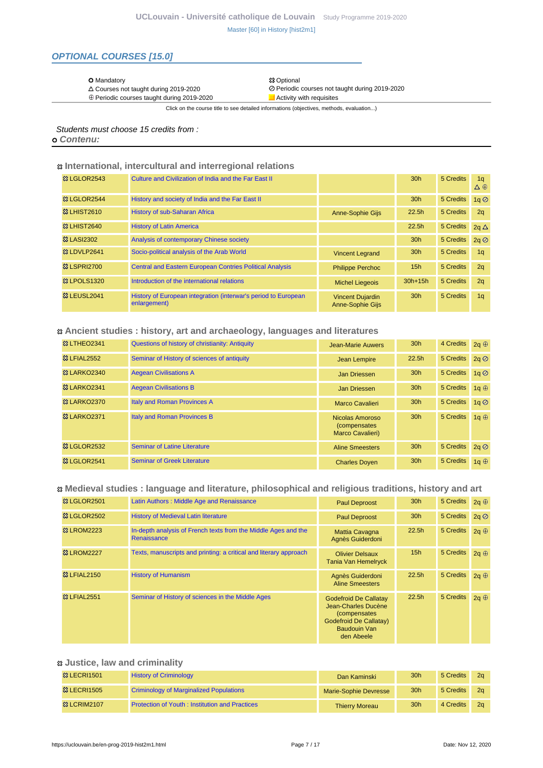# **OPTIONAL COURSES [15.0]**

O Mandatory <br>
△ Courses not taught during 2019-2020 <br>
⊘ Periodic

 $\oplus$  Periodic courses taught during 2019-2020

⊘ Periodic courses not taught during 2019-2020<br>■ Activity with requisites

Click on the course title to see detailed informations (objectives, methods, evaluation...)

Students must choose 15 credits from :

 **Contenu:**

#### **International, intercultural and interregional relations**

| <b>&amp; LGLOR2543</b>  | Culture and Civilization of India and the Far East II                          |                                                    | 30 <sub>h</sub> | 5 Credits | 1 <sub>a</sub><br>$\Delta \oplus$ |
|-------------------------|--------------------------------------------------------------------------------|----------------------------------------------------|-----------------|-----------|-----------------------------------|
| <b>83 LGLOR2544</b>     | History and society of India and the Far East II                               |                                                    | 30 <sub>h</sub> | 5 Credits | 1q                                |
| <b>&amp; LHIST2610</b>  | History of sub-Saharan Africa                                                  | <b>Anne-Sophie Gijs</b>                            | 22.5h           | 5 Credits | 2q                                |
| <b>&amp;3 LHIST2640</b> | <b>History of Latin America</b>                                                |                                                    | 22.5h           | 5 Credits | $2q \Delta$                       |
| <b>&amp;3 LASI2302</b>  | Analysis of contemporary Chinese society                                       |                                                    | 30 <sub>h</sub> | 5 Credits | 2q                                |
| 33 LDVLP2641            | Socio-political analysis of the Arab World                                     | <b>Vincent Legrand</b>                             | 30 <sub>h</sub> | 5 Credits | 1 <sub>a</sub>                    |
| <b>&amp; LSPRI2700</b>  | <b>Central and Eastern European Contries Political Analysis</b>                | <b>Philippe Perchoc</b>                            | 15 <sub>h</sub> | 5 Credits | 2q                                |
| <b>&amp; LPOLS1320</b>  | Introduction of the international relations                                    | <b>Michel Liegeois</b>                             | $30h+15h$       | 5 Credits | 2q                                |
| 83 LEUSL2041            | History of European integration (interwar's period to European<br>enlargement) | <b>Vincent Dujardin</b><br><b>Anne-Sophie Gijs</b> | 30 <sub>h</sub> | 5 Credits | 1 <sub>q</sub>                    |

### **Ancient studies : history, art and archaeology, languages and literatures**

| <b>&amp; LTHEO2341</b>  | Questions of history of christianity: Antiquity | <b>Jean-Marie Auwers</b>                                    | 30 <sub>h</sub>   | 4 Credits | $2q \oplus$                          |
|-------------------------|-------------------------------------------------|-------------------------------------------------------------|-------------------|-----------|--------------------------------------|
| <b>&amp; LFIAL2552</b>  | Seminar of History of sciences of antiquity     | Jean Lempire                                                | 22.5 <sub>h</sub> | 5 Credits | $2a$ $\oslash$                       |
| <b>&amp;3 LARKO2340</b> | <b>Aegean Civilisations A</b>                   | Jan Driessen                                                | 30 <sub>h</sub>   | 5 Credits | $1a$ <sup><math>\oslash</math></sup> |
| 83 LARKO2341            | <b>Aegean Civilisations B</b>                   | Jan Driessen                                                | 30 <sub>h</sub>   | 5 Credits | 1a $\oplus$                          |
| <b>&amp; LARKO2370</b>  | <b>Italy and Roman Provinces A</b>              | <b>Marco Cavalieri</b>                                      | 30 <sub>h</sub>   | 5 Credits | $1a$ $\oslash$                       |
| <b>&amp;3 LARKO2371</b> | Italy and Roman Provinces B                     | Nicolas Amoroso<br><i>(compensates)</i><br>Marco Cavalieri) | 30 <sub>h</sub>   | 5 Credits | 1a $\oplus$                          |
| <b>&amp; LGLOR2532</b>  | Seminar of Latine Literature                    | <b>Aline Smeesters</b>                                      | 30 <sub>h</sub>   | 5 Credits | 2q                                   |
| 窓 LGLOR2541             | <b>Seminar of Greek Literature</b>              | <b>Charles Doyen</b>                                        | 30 <sub>h</sub>   | 5 Credits | 1a $\oplus$                          |

### **Medieval studies : language and literature, philosophical and religious traditions, history and art**

| <b>© LGLOR2501</b>     | Latin Authors: Middle Age and Renaissance                                     | <b>Paul Deproost</b>                                                                                                                              | 30 <sub>h</sub> | 5 Credits 2q + |             |
|------------------------|-------------------------------------------------------------------------------|---------------------------------------------------------------------------------------------------------------------------------------------------|-----------------|----------------|-------------|
| <b>83 LGLOR2502</b>    | <b>History of Medieval Latin literature</b>                                   | <b>Paul Deproost</b>                                                                                                                              | 30 <sub>h</sub> | 5 Credits      | 2q          |
| <b>&amp; LROM2223</b>  | In-depth analysis of French texts from the Middle Ages and the<br>Renaissance | <b>Mattia Cavagna</b><br>Agnès Guiderdoni                                                                                                         | 22.5h           | 5 Credits      | $2a \oplus$ |
| <b>&amp;3 LROM2227</b> | Texts, manuscripts and printing: a critical and literary approach             | <b>Olivier Delsaux</b><br>Tania Van Hemelryck                                                                                                     | 15 <sub>h</sub> | 5 Credits      | $2q \oplus$ |
| <b>&amp; LFIAL2150</b> | <b>History of Humanism</b>                                                    | Agnès Guiderdoni<br><b>Aline Smeesters</b>                                                                                                        | 22.5h           | 5 Credits      | $2a \oplus$ |
| <b>23 LFIAL2551</b>    | Seminar of History of sciences in the Middle Ages                             | <b>Godefroid De Callatay</b><br>Jean-Charles Ducène<br><i>(compensates)</i><br><b>Godefroid De Callatay)</b><br><b>Baudouin Van</b><br>den Abeele | 22.5h           | 5 Credits      | $2q \oplus$ |

### **Justice, law and criminality**

| <b>&amp; LECRI1501</b> | <b>History of Criminology</b>                         | Dan Kaminski          | 30 <sub>h</sub> | 5 Credits | 2a             |
|------------------------|-------------------------------------------------------|-----------------------|-----------------|-----------|----------------|
| <b>&amp; LECRI1505</b> | <b>Criminology of Marginalized Populations</b>        | Marie-Sophie Devresse | 30 <sub>h</sub> | 5 Credits | 2 <sub>a</sub> |
| <b>83 LCRIM2107</b>    | <b>Protection of Youth: Institution and Practices</b> | <b>Thierry Moreau</b> | 30 <sub>h</sub> | 4 Credits | 2a             |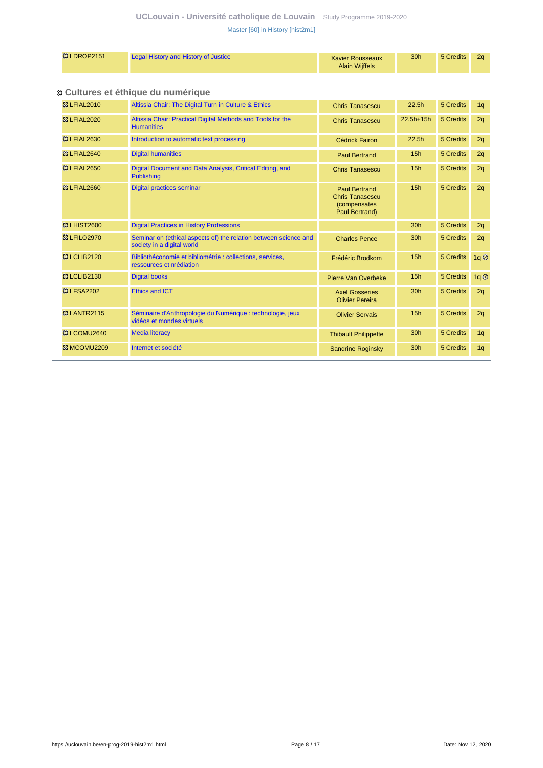# **UCLouvain - Université catholique de Louvain** [Study Programme 2019-2020](https://uclouvain.be/en/study-programme) [Master \[60\] in History \[hist2m1\]](https://uclouvain.be/en-prog-2019-hist2m1.html)

# **Cultures et éthique du numérique**

| <b>83 LFIAL2010</b>     | Altissia Chair: The Digital Turn in Culture & Ethics                                           | <b>Chris Tanasescu</b>                                                                   | 22.5h           | 5 Credits | 1q                                 |
|-------------------------|------------------------------------------------------------------------------------------------|------------------------------------------------------------------------------------------|-----------------|-----------|------------------------------------|
| <b>83 LFIAL2020</b>     | Altissia Chair: Practical Digital Methods and Tools for the<br><b>Humanities</b>               | <b>Chris Tanasescu</b>                                                                   | 22.5h+15h       | 5 Credits | 2q                                 |
| <b>83 LFIAL2630</b>     | Introduction to automatic text processing                                                      | <b>Cédrick Fairon</b>                                                                    | 22.5h           | 5 Credits | 2q                                 |
| <b>83 LFIAL2640</b>     | <b>Digital humanities</b>                                                                      | <b>Paul Bertrand</b>                                                                     | 15h             | 5 Credits | 2q                                 |
| <b>83 LFIAL2650</b>     | Digital Document and Data Analysis, Critical Editing, and<br><b>Publishing</b>                 | <b>Chris Tanasescu</b>                                                                   | 15h             | 5 Credits | 2q                                 |
| <b>83 LFIAL2660</b>     | Digital practices seminar                                                                      | <b>Paul Bertrand</b><br><b>Chris Tanasescu</b><br><i>(compensates)</i><br>Paul Bertrand) | 15h             | 5 Credits | 2q                                 |
| <b>&amp;3 LHIST2600</b> | <b>Digital Practices in History Professions</b>                                                |                                                                                          | 30 <sub>h</sub> | 5 Credits | 2q                                 |
| <b>83 LFILO2970</b>     | Seminar on (ethical aspects of) the relation between science and<br>society in a digital world | <b>Charles Pence</b>                                                                     | 30 <sub>h</sub> | 5 Credits | 2q                                 |
| <b>&amp;3 LCLIB2120</b> | Bibliothéconomie et bibliométrie : collections, services,<br>ressources et médiation           | Frédéric Brodkom                                                                         | 15h             | 5 Credits | $1q$ <sup><math>\odot</math></sup> |
| <b>&amp; LCLIB2130</b>  | <b>Digital books</b>                                                                           | Pierre Van Overbeke                                                                      | 15h             | 5 Credits | 1q                                 |
| <b>&amp; LFSA2202</b>   | <b>Ethics and ICT</b>                                                                          | <b>Axel Gosseries</b><br><b>Olivier Pereira</b>                                          | 30 <sub>h</sub> | 5 Credits | 2q                                 |
| <b>&amp;3 LANTR2115</b> | Séminaire d'Anthropologie du Numérique : technologie, jeux<br>vidéos et mondes virtuels        | <b>Olivier Servais</b>                                                                   | 15h             | 5 Credits | 2q                                 |
| <sup>3</sup> LCOMU2640  | <b>Media literacy</b>                                                                          | <b>Thibault Philippette</b>                                                              | 30 <sub>h</sub> | 5 Credits | 1q                                 |
| <b>&amp;3 MCOMU2209</b> | Internet et société                                                                            | <b>Sandrine Roginsky</b>                                                                 | 30h             | 5 Credits | 1q                                 |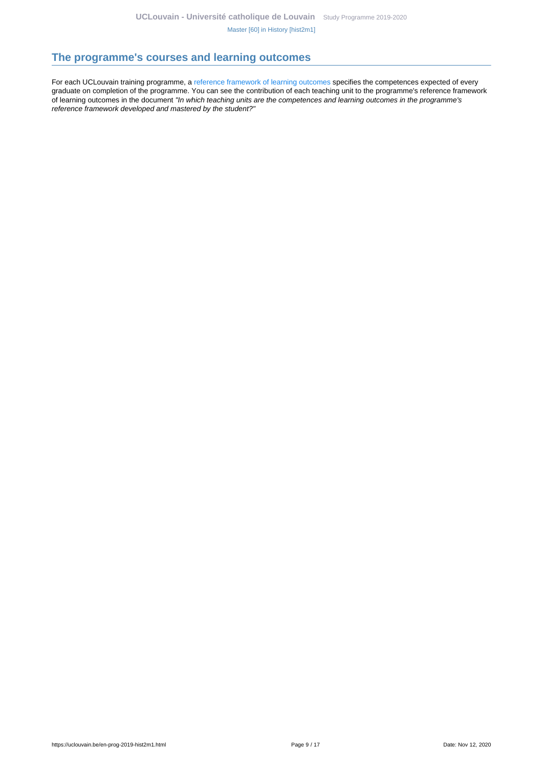# <span id="page-8-0"></span>**The programme's courses and learning outcomes**

For each UCLouvain training programme, a [reference framework of learning outcomes](https://uclouvain.be/en-prog-2019-hist2m1-competences_et_acquis.html) specifies the competences expected of every graduate on completion of the programme. You can see the contribution of each teaching unit to the programme's reference framework of learning outcomes in the document "In which teaching units are the competences and learning outcomes in the programme's reference framework developed and mastered by the student?"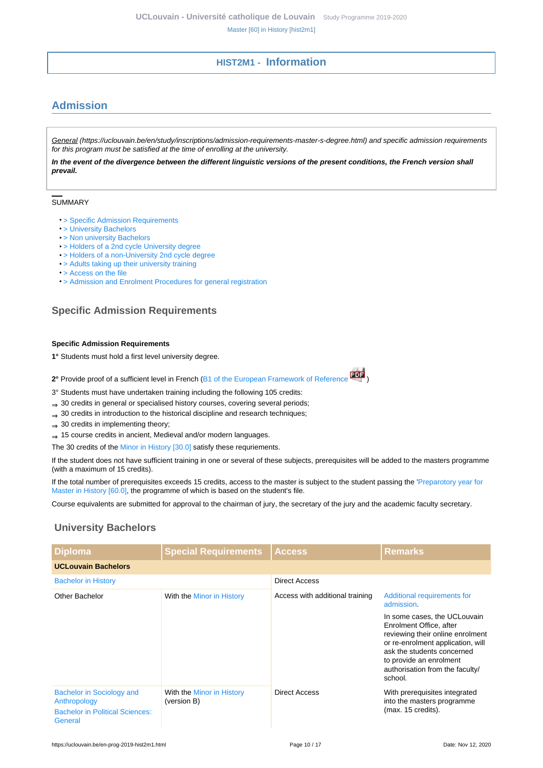# **HIST2M1 - Information**

# <span id="page-9-1"></span><span id="page-9-0"></span>**Admission**

General (https://uclouvain.be/en/study/inscriptions/admission-requirements-master-s-degree.html) and specific admission requirements for this program must be satisfied at the time of enrolling at the university.

**In the event of the divergence between the different linguistic versions of the present conditions, the French version shall prevail.**

#### SUMMARY

- > Specific Admission Requirements
- [> University Bachelors](#page-9-2)
- [> Non university Bachelors](#page-10-0)
- [> Holders of a 2nd cycle University degree](#page-11-0)
- [> Holders of a non-University 2nd cycle degree](#page-11-1)
- [> Adults taking up their university training](#page-11-2)
- [> Access on the file](#page-11-3)
- [> Admission and Enrolment Procedures for general registration](#page-11-4)

# **Specific Admission Requirements**

#### **Specific Admission Requirements**

- **1°** Students must hold a first level university degree.
- **2°** Provide proof of a sufficient level in French ([B1 of the European Framework of Reference](http://www.coe.int/T/DG4/Portfolio/documents/cadrecommun.pdf) )
- 3° Students must have undertaken training including the following 105 credits:
- ⇒ 30 credits in general or specialised history courses, covering several periods;
- ⇒ 30 credits in introduction to the historical discipline and research techniques;
- $\Rightarrow$  30 credits in implementing theory;
- ⇒ 15 course credits in ancient, Medieval and/or modern languages.

The 30 credits of the [Minor in History \[30.0\]](https://uclouvain.be/en-prog-2019-min-lhist100i) satisfy these requriements.

If the student does not have sufficient training in one or several of these subjects, prerequisites will be added to the masters programme (with a maximum of 15 credits).

If the total number of prerequisites exceeds 15 credits, access to the master is subject to the student passing the '[Preparotory year for](https://uclouvain.be/en-prog-2019-hist1pm) [Master in History \[60.0\],](https://uclouvain.be/en-prog-2019-hist1pm) the programme of which is based on the student's file.

Course equivalents are submitted for approval to the chairman of jury, the secretary of the jury and the academic faculty secretary.

# <span id="page-9-2"></span>**University Bachelors**

| <b>Diploma</b>                                                                                 | <b>Special Requirements</b>              | <b>Access</b>                   | <b>Remarks</b>                                                                                                                                                                                                                          |
|------------------------------------------------------------------------------------------------|------------------------------------------|---------------------------------|-----------------------------------------------------------------------------------------------------------------------------------------------------------------------------------------------------------------------------------------|
| <b>UCLouvain Bachelors</b>                                                                     |                                          |                                 |                                                                                                                                                                                                                                         |
| <b>Bachelor in History</b>                                                                     |                                          | Direct Access                   |                                                                                                                                                                                                                                         |
| Other Bachelor                                                                                 | With the Minor in History                | Access with additional training | Additional requirements for<br>admission.                                                                                                                                                                                               |
|                                                                                                |                                          |                                 | In some cases, the UCLouvain<br>Enrolment Office, after<br>reviewing their online enrolment<br>or re-enrolment application, will<br>ask the students concerned<br>to provide an enrolment<br>authorisation from the faculty/<br>school. |
| Bachelor in Sociology and<br>Anthropology<br><b>Bachelor in Political Sciences:</b><br>General | With the Minor in History<br>(version B) | Direct Access                   | With prerequisites integrated<br>into the masters programme<br>(max. 15 credits).                                                                                                                                                       |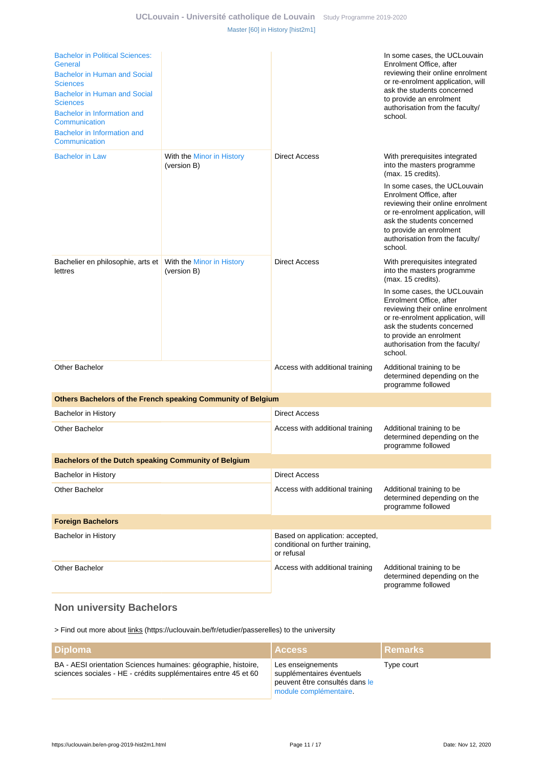| <b>Bachelor in Political Sciences:</b><br>General<br>Bachelor in Human and Social<br><b>Sciences</b><br><b>Bachelor in Human and Social</b><br><b>Sciences</b><br>Bachelor in Information and<br>Communication<br>Bachelor in Information and<br>Communication |                                                              |                                                                                   | In some cases, the UCLouvain<br>Enrolment Office, after<br>reviewing their online enrolment<br>or re-enrolment application, will<br>ask the students concerned<br>to provide an enrolment<br>authorisation from the faculty/<br>school. |
|----------------------------------------------------------------------------------------------------------------------------------------------------------------------------------------------------------------------------------------------------------------|--------------------------------------------------------------|-----------------------------------------------------------------------------------|-----------------------------------------------------------------------------------------------------------------------------------------------------------------------------------------------------------------------------------------|
| <b>Bachelor in Law</b>                                                                                                                                                                                                                                         | With the Minor in History<br>(version B)                     | <b>Direct Access</b>                                                              | With prerequisites integrated<br>into the masters programme<br>(max. 15 credits).                                                                                                                                                       |
|                                                                                                                                                                                                                                                                |                                                              |                                                                                   | In some cases, the UCLouvain<br>Enrolment Office, after<br>reviewing their online enrolment<br>or re-enrolment application, will<br>ask the students concerned<br>to provide an enrolment<br>authorisation from the faculty/<br>school. |
| Bachelier en philosophie, arts et<br>lettres                                                                                                                                                                                                                   | With the Minor in History<br>(version B)                     | <b>Direct Access</b>                                                              | With prerequisites integrated<br>into the masters programme<br>(max. 15 credits).                                                                                                                                                       |
|                                                                                                                                                                                                                                                                |                                                              |                                                                                   | In some cases, the UCLouvain<br>Enrolment Office, after<br>reviewing their online enrolment<br>or re-enrolment application, will<br>ask the students concerned<br>to provide an enrolment<br>authorisation from the faculty/<br>school. |
| <b>Other Bachelor</b>                                                                                                                                                                                                                                          |                                                              | Access with additional training                                                   | Additional training to be<br>determined depending on the<br>programme followed                                                                                                                                                          |
|                                                                                                                                                                                                                                                                | Others Bachelors of the French speaking Community of Belgium |                                                                                   |                                                                                                                                                                                                                                         |
| Bachelor in History                                                                                                                                                                                                                                            |                                                              | <b>Direct Access</b>                                                              |                                                                                                                                                                                                                                         |
| <b>Other Bachelor</b>                                                                                                                                                                                                                                          |                                                              | Access with additional training                                                   | Additional training to be<br>determined depending on the<br>programme followed                                                                                                                                                          |
| <b>Bachelors of the Dutch speaking Community of Belgium</b>                                                                                                                                                                                                    |                                                              |                                                                                   |                                                                                                                                                                                                                                         |
| Bachelor in History                                                                                                                                                                                                                                            |                                                              | <b>Direct Access</b>                                                              |                                                                                                                                                                                                                                         |
| <b>Other Bachelor</b>                                                                                                                                                                                                                                          |                                                              | Access with additional training                                                   | Additional training to be<br>determined depending on the<br>programme followed                                                                                                                                                          |
| <b>Foreign Bachelors</b>                                                                                                                                                                                                                                       |                                                              |                                                                                   |                                                                                                                                                                                                                                         |
| <b>Bachelor in History</b>                                                                                                                                                                                                                                     |                                                              | Based on application: accepted,<br>conditional on further training,<br>or refusal |                                                                                                                                                                                                                                         |
| <b>Other Bachelor</b>                                                                                                                                                                                                                                          |                                                              | Access with additional training                                                   | Additional training to be<br>determined depending on the<br>programme followed                                                                                                                                                          |

# <span id="page-10-0"></span>**Non university Bachelors**

> Find out more about links (https://uclouvain.be/fr/etudier/passerelles) to the university

| <b>Diploma</b>                                                                                                                    | <b>Access</b>                                                                                              | l Remarks  |
|-----------------------------------------------------------------------------------------------------------------------------------|------------------------------------------------------------------------------------------------------------|------------|
| BA - AESI orientation Sciences humaines: géographie, histoire,<br>sciences sociales - HE - crédits supplémentaires entre 45 et 60 | Les enseignements<br>supplémentaires éventuels<br>peuvent être consultés dans le<br>module complémentaire. | Type court |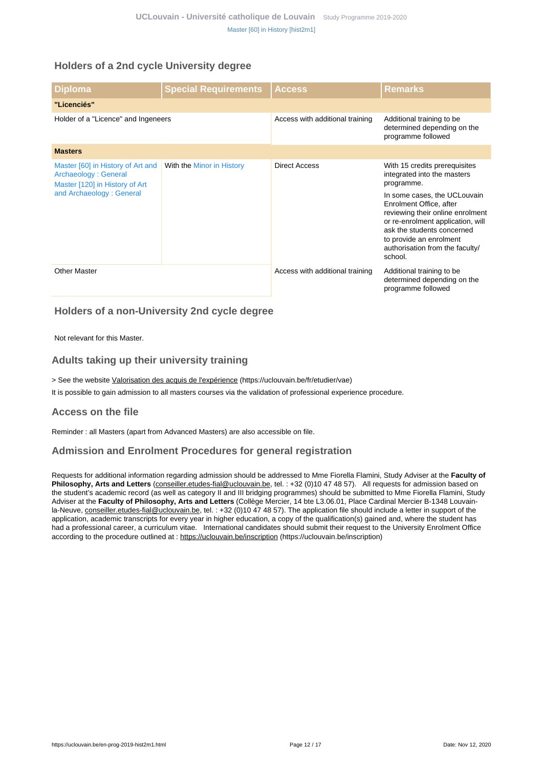# <span id="page-11-0"></span>**Holders of a 2nd cycle University degree**

| <b>Diploma</b>                                                                              | <b>Special Requirements</b> | <b>Access</b>                   | <b>Remarks</b>                                                                                                                                                                                                                          |
|---------------------------------------------------------------------------------------------|-----------------------------|---------------------------------|-----------------------------------------------------------------------------------------------------------------------------------------------------------------------------------------------------------------------------------------|
| "Licenciés"                                                                                 |                             |                                 |                                                                                                                                                                                                                                         |
| Holder of a "Licence" and Ingeneers                                                         |                             | Access with additional training | Additional training to be<br>determined depending on the<br>programme followed                                                                                                                                                          |
| <b>Masters</b>                                                                              |                             |                                 |                                                                                                                                                                                                                                         |
| Master [60] in History of Art and<br>Archaeology: General<br>Master [120] in History of Art | With the Minor in History   | <b>Direct Access</b>            | With 15 credits prerequisites<br>integrated into the masters<br>programme.                                                                                                                                                              |
| and Archaeology: General                                                                    |                             |                                 | In some cases, the UCLouvain<br>Enrolment Office, after<br>reviewing their online enrolment<br>or re-enrolment application, will<br>ask the students concerned<br>to provide an enrolment<br>authorisation from the faculty/<br>school. |
| <b>Other Master</b>                                                                         |                             | Access with additional training | Additional training to be<br>determined depending on the<br>programme followed                                                                                                                                                          |

# <span id="page-11-1"></span>**Holders of a non-University 2nd cycle degree**

Not relevant for this Master.

# <span id="page-11-2"></span>**Adults taking up their university training**

> See the website Valorisation des acquis de l'expérience (https://uclouvain.be/fr/etudier/vae)

It is possible to gain admission to all masters courses via the validation of professional experience procedure.

### <span id="page-11-3"></span>**Access on the file**

Reminder : all Masters (apart from Advanced Masters) are also accessible on file.

# <span id="page-11-4"></span>**Admission and Enrolment Procedures for general registration**

Requests for additional information regarding admission should be addressed to Mme Fiorella Flamini, Study Adviser at the **Faculty of Philosophy, Arts and Letters** (conseiller.etudes-fial@uclouvain.be, tel. : +32 (0)10 47 48 57). All requests for admission based on the student's academic record (as well as category II and III bridging programmes) should be submitted to Mme Fiorella Flamini, Study Adviser at the **Faculty of Philosophy, Arts and Letters** (Collège Mercier, 14 bte L3.06.01, Place Cardinal Mercier B-1348 Louvainla-Neuve, conseiller.etudes-fial@uclouvain.be, tel. : +32 (0)10 47 48 57). The application file should include a letter in support of the application, academic transcripts for every year in higher education, a copy of the qualification(s) gained and, where the student has had a professional career, a curriculum vitae. International candidates should submit their request to the University Enrolment Office according to the procedure outlined at : https://uclouvain.be/inscription (https://uclouvain.be/inscription)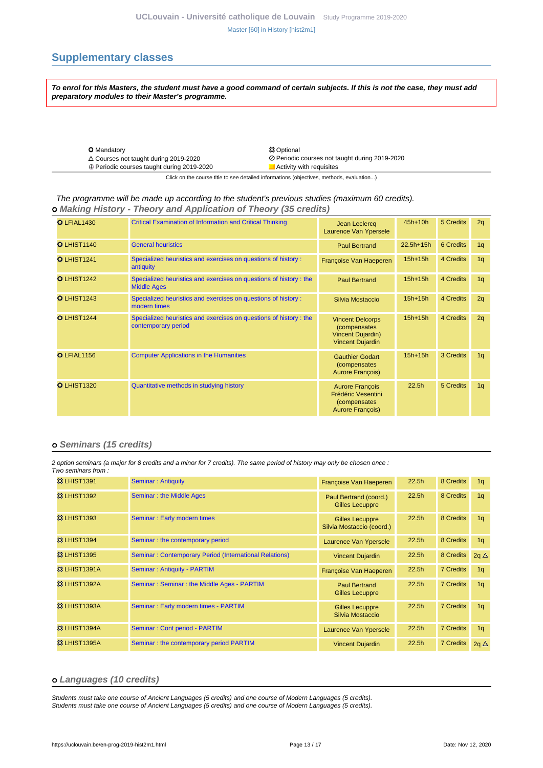# <span id="page-12-0"></span>**Supplementary classes**

**To enrol for this Masters, the student must have a good command of certain subjects. If this is not the case, they must add preparatory modules to their Master's programme.**

| <b>O</b> Mandatory                                | <b>83 Optional</b>                             |
|---------------------------------------------------|------------------------------------------------|
| $\triangle$ Courses not taught during 2019-2020   | ⊘ Periodic courses not taught during 2019-2020 |
| $\oplus$ Periodic courses taught during 2019-2020 | Activity with requisites                       |
|                                                   |                                                |

Click on the course title to see detailed informations (objectives, methods, evaluation...)

#### The programme will be made up according to the student's previous studies (maximum 60 credits).  **Making History - Theory and Application of Theory (35 credits)**

| O LFIAL1430        | <b>Critical Examination of Information and Critical Thinking</b>                         | Jean Leclercq<br>Laurence Van Ypersele                                                         | $45h+10h$         | 5 Credits | 2q             |
|--------------------|------------------------------------------------------------------------------------------|------------------------------------------------------------------------------------------------|-------------------|-----------|----------------|
| <b>OLHIST1140</b>  | <b>General heuristics</b>                                                                | <b>Paul Bertrand</b>                                                                           | 22.5h+15h         | 6 Credits | 1q             |
| O LHIST1241        | Specialized heuristics and exercises on questions of history :<br>antiquity              | Françoise Van Haeperen                                                                         | $15h+15h$         | 4 Credits | 1 <sub>q</sub> |
| O LHIST1242        | Specialized heuristics and exercises on questions of history : the<br><b>Middle Ages</b> | <b>Paul Bertrand</b>                                                                           | $15h+15h$         | 4 Credits | 1q             |
| <b>O</b> LHIST1243 | Specialized heuristics and exercises on questions of history :<br>modern times           | Silvia Mostaccio                                                                               | $15h+15h$         | 4 Credits | 2q             |
| O LHIST1244        | Specialized heuristics and exercises on questions of history: the<br>contemporary period | <b>Vincent Delcorps</b><br>(compensates<br><b>Vincent Dujardin)</b><br><b>Vincent Dujardin</b> | $15h+15h$         | 4 Credits | 2q             |
| O LFIAL1156        | <b>Computer Applications in the Humanities</b>                                           | <b>Gauthier Godart</b><br><i>(compensates)</i><br>Aurore François)                             | $15h+15h$         | 3 Credits | 1 <sub>q</sub> |
| <b>O</b> LHIST1320 | Quantitative methods in studying history                                                 | <b>Aurore François</b><br>Frédéric Vesentini<br>(compensates)<br>Aurore François)              | 22.5 <sub>h</sub> | 5 Credits | 1 <sub>q</sub> |

#### **Seminars (15 credits)**

2 option seminars (a major for 8 credits and a minor for 7 credits). The same period of history may only be chosen once : Two seminars from :

| <b>&amp;3 LHIST1391</b>  | <b>Seminar: Antiquity</b>                              | Françoise Van Haeperen                              | 22.5h             | 8 Credits        | 1 <sub>q</sub> |
|--------------------------|--------------------------------------------------------|-----------------------------------------------------|-------------------|------------------|----------------|
| <b>&amp; LHIST1392</b>   | <b>Seminar: the Middle Ages</b>                        | Paul Bertrand (coord.)<br><b>Gilles Lecuppre</b>    | 22.5 <sub>h</sub> | 8 Credits        | 1 <sub>q</sub> |
| <b>&amp;3 LHIST1393</b>  | Seminar: Early modern times                            | <b>Gilles Lecuppre</b><br>Silvia Mostaccio (coord.) | 22.5h             | 8 Credits        | 1 <sub>q</sub> |
| <b>&amp;3 LHIST1394</b>  | Seminar: the contemporary period                       | Laurence Van Ypersele                               | 22.5h             | 8 Credits        | 1 <sub>q</sub> |
| <b>&amp;3 LHIST1395</b>  | Seminar: Contemporary Period (International Relations) | <b>Vincent Dujardin</b>                             | 22.5 <sub>h</sub> | 8 Credits        | $2q \Delta$    |
| <b>83 LHIST1391A</b>     | <b>Seminar: Antiquity - PARTIM</b>                     | Françoise Van Haeperen                              | 22.5h             | <b>7 Credits</b> | 1q             |
| <b>83 LHIST1392A</b>     | Seminar: Seminar: the Middle Ages - PARTIM             | <b>Paul Bertrand</b><br><b>Gilles Lecuppre</b>      | 22.5h             | <b>7 Credits</b> | 1 <sub>q</sub> |
| <b>83 LHIST1393A</b>     | Seminar: Early modern times - PARTIM                   | <b>Gilles Lecuppre</b><br>Silvia Mostaccio          | 22.5h             | <b>7 Credits</b> | 1 <sub>q</sub> |
| 83 LHIST1394A            | Seminar: Cont period - PARTIM                          | Laurence Van Ypersele                               | 22.5 <sub>h</sub> | <b>7 Credits</b> | 1 <sub>q</sub> |
| <b>&amp;3 LHIST1395A</b> | Seminar: the contemporary period PARTIM                | <b>Vincent Dujardin</b>                             | 22.5 <sub>h</sub> | <b>7 Credits</b> | $2q \Delta$    |

#### **Languages (10 credits)**

Students must take one course of Ancient Languages (5 credits) and one course of Modern Languages (5 credits). Students must take one course of Ancient Languages (5 credits) and one course of Modern Languages (5 credits).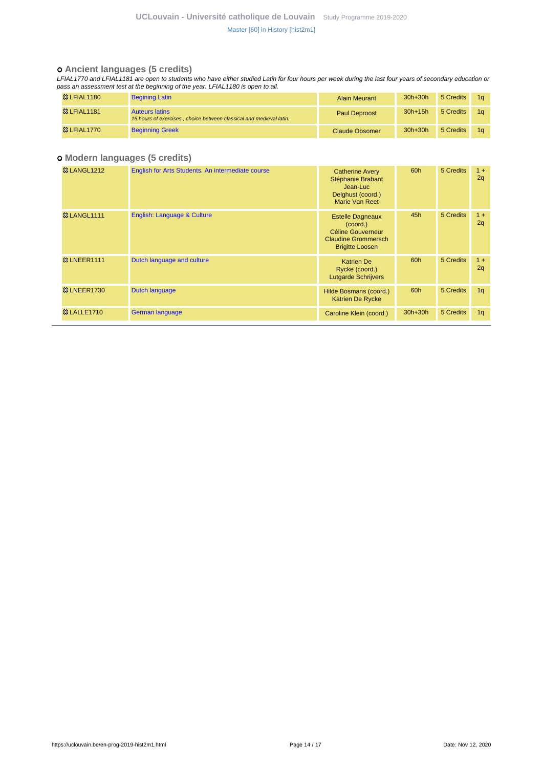#### **Ancient languages (5 credits)**

LFIAL1770 and LFIAL1181 are open to students who have either studied Latin for four hours per week during the last four years of secondary education or pass an assessment test at the beginning of the year. LFIAL1180 is open to all.

| <b>&amp;3 LFIAL1180</b> | <b>Begining Latin</b>                                                                        | <b>Alain Meurant</b>  | $30h+30h$ | 5 Credits | 1α |
|-------------------------|----------------------------------------------------------------------------------------------|-----------------------|-----------|-----------|----|
| <b>&amp;3 LFIAL1181</b> | <b>Auteurs latins</b><br>15 hours of exercises, choice between classical and medieval latin. | <b>Paul Deproost</b>  | $30h+15h$ | 5 Credits |    |
| <b>&amp; LFIAL1770</b>  | <b>Beginning Greek</b>                                                                       | <b>Claude Obsomer</b> | $30h+30h$ | 5 Credits |    |

### **Modern languages (5 credits)**

| <b>&amp; LANGL1212</b>  | English for Arts Students. An intermediate course | <b>Catherine Avery</b><br>Stéphanie Brabant<br>Jean-Luc<br>Delghust (coord.)<br>Marie Van Reet                         | 60h       | 5 Credits | $1 +$<br>2q    |
|-------------------------|---------------------------------------------------|------------------------------------------------------------------------------------------------------------------------|-----------|-----------|----------------|
| <b>&amp; LANGL1111</b>  | English: Language & Culture                       | <b>Estelle Dagneaux</b><br>$(c$ oord. $)$<br>Céline Gouverneur<br><b>Claudine Grommersch</b><br><b>Brigitte Loosen</b> | 45h       | 5 Credits | $1 +$<br>2q    |
| <b>&amp; LNEER1111</b>  | Dutch language and culture                        | <b>Katrien De</b><br>Rycke (coord.)<br><b>Lutgarde Schrijvers</b>                                                      | 60h       | 5 Credits | $1 +$<br>2q    |
| <b>&amp; LNEER1730</b>  | Dutch language                                    | Hilde Bosmans (coord.)<br><b>Katrien De Rycke</b>                                                                      | 60h       | 5 Credits | 1q             |
| <b>&amp;3 LALLE1710</b> | German language                                   | Caroline Klein (coord.)                                                                                                | $30h+30h$ | 5 Credits | 1 <sub>q</sub> |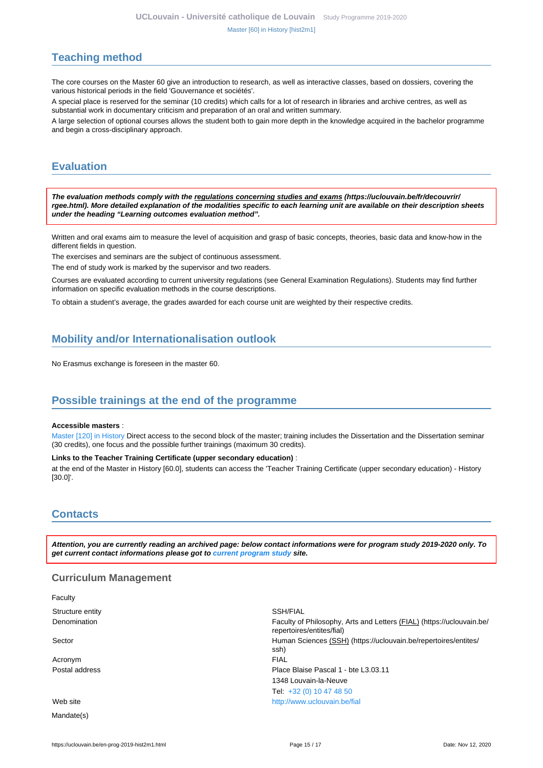# <span id="page-14-0"></span>**Teaching method**

The core courses on the Master 60 give an introduction to research, as well as interactive classes, based on dossiers, covering the various historical periods in the field 'Gouvernance et sociétés'.

A special place is reserved for the seminar (10 credits) which calls for a lot of research in libraries and archive centres, as well as substantial work in documentary criticism and preparation of an oral and written summary.

A large selection of optional courses allows the student both to gain more depth in the knowledge acquired in the bachelor programme and begin a cross-disciplinary approach.

# <span id="page-14-1"></span>**Evaluation**

**The evaluation methods comply with the regulations concerning studies and exams (https://uclouvain.be/fr/decouvrir/ rgee.html). More detailed explanation of the modalities specific to each learning unit are available on their description sheets under the heading "Learning outcomes evaluation method".**

Written and oral exams aim to measure the level of acquisition and grasp of basic concepts, theories, basic data and know-how in the different fields in question.

The exercises and seminars are the subject of continuous assessment.

The end of study work is marked by the supervisor and two readers.

Courses are evaluated according to current university regulations (see General Examination Regulations). Students may find further information on specific evaluation methods in the course descriptions.

To obtain a student's average, the grades awarded for each course unit are weighted by their respective credits.

# <span id="page-14-2"></span>**Mobility and/or Internationalisation outlook**

No Erasmus exchange is foreseen in the master 60.

# <span id="page-14-3"></span>**Possible trainings at the end of the programme**

#### **Accessible masters** :

[Master \[120\] in History](https://uclouvain.be/en-prog-2019-hist2m) Direct access to the second block of the master; training includes the Dissertation and the Dissertation seminar (30 credits), one focus and the possible further trainings (maximum 30 credits).

#### **Links to the Teacher Training Certificate (upper secondary education)** :

at the end of the Master in History [60.0], students can access the 'Teacher Training Certificate (upper secondary education) - History [30.0]'.

# <span id="page-14-4"></span>**Contacts**

**Attention, you are currently reading an archived page: below contact informations were for program study 2019-2020 only. To get current contact informations please got to [current program study](https://uclouvain.be/fr/catalogue-formations) site.**

#### **Curriculum Management**

| Faculty          |                                                                                                    |
|------------------|----------------------------------------------------------------------------------------------------|
| Structure entity | SSH/FIAL                                                                                           |
| Denomination     | Faculty of Philosophy, Arts and Letters (FIAL) (https://uclouvain.be/<br>repertoires/entites/fial) |
| Sector           | Human Sciences (SSH) (https://uclouvain.be/repertoires/entites/<br>ssh)                            |
| Acronym          | <b>FIAL</b>                                                                                        |
| Postal address   | Place Blaise Pascal 1 - bte L3.03.11                                                               |
|                  | 1348 Louvain-la-Neuve                                                                              |
|                  | Tel: +32 (0) 10 47 48 50                                                                           |
| Web site         | http://www.uclouvain.be/fial                                                                       |
| Mandate(s)       |                                                                                                    |